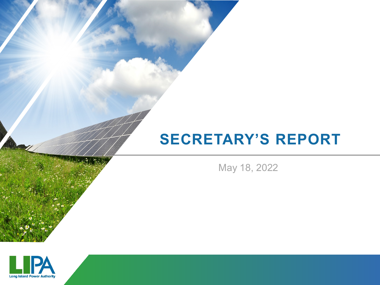## **SECRETARY'S REPORT**

May 18, 2022

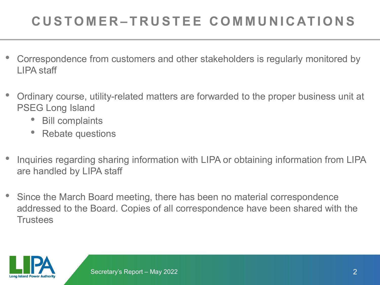## **CUSTOMER – TRUSTEE COMMUNICATIONS**

- Correspondence from customers and other stakeholders is regularly monitored by LIPA staff
- Ordinary course, utility-related matters are forwarded to the proper business unit at PSEG Long Island
	- Bill complaints
	- Rebate questions
- Inquiries regarding sharing information with LIPA or obtaining information from LIPA are handled by LIPA staff
- Since the March Board meeting, there has been no material correspondence addressed to the Board. Copies of all correspondence have been shared with the **Trustees**

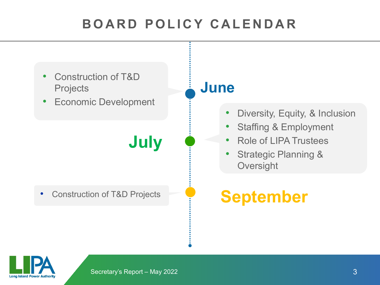## **BOARD POLICY CALENDAR**